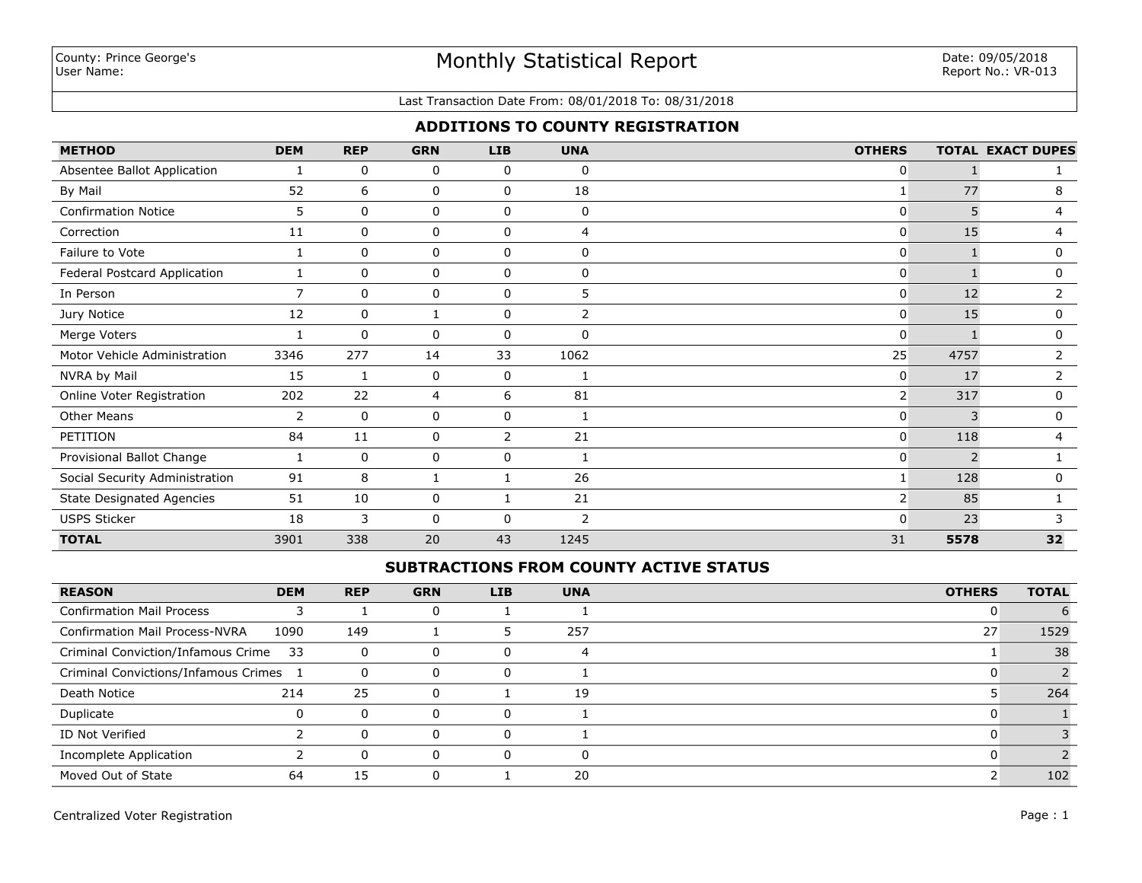#### Last Transaction Date From: 08/01/2018 To: 08/31/2018

## **ADDITIONS TO COUNTY REGISTRATION**

| <b>METHOD</b>                    | <b>DEM</b>     | <b>REP</b>   | <b>GRN</b> | <b>LIB</b>  | <b>UNA</b>     | <b>OTHERS</b>  |      | <b>TOTAL EXACT DUPES</b> |
|----------------------------------|----------------|--------------|------------|-------------|----------------|----------------|------|--------------------------|
| Absentee Ballot Application      |                | 0            | 0          | 0           | 0              | 0              |      |                          |
| By Mail                          | 52             | 6            | 0          | 0           | 18             | 1              | 77   | 8                        |
| <b>Confirmation Notice</b>       | 5              | $\mathbf{0}$ | 0          | 0           | 0              | 0              | 5    | 4                        |
| Correction                       | 11             | 0            | 0          | 0           | 4              | 0              | 15   | 4                        |
| Failure to Vote                  |                | $\mathbf 0$  | 0          | 0           | $\mathbf 0$    | 0              |      | 0                        |
| Federal Postcard Application     |                | $\mathbf{0}$ | 0          | 0           | $\mathbf{0}$   | 0              |      | 0                        |
| In Person                        | $\overline{7}$ | $\mathbf 0$  | 0          | $\mathbf 0$ | 5              | 0              | 12   | 2                        |
| Jury Notice                      | 12             | $\mathbf 0$  |            | 0           | $\overline{2}$ | 0              | 15   | 0                        |
| Merge Voters                     |                | 0            | 0          | 0           | 0              | 0              |      | 0                        |
| Motor Vehicle Administration     | 3346           | 277          | 14         | 33          | 1062           | 25             | 4757 | 2                        |
| NVRA by Mail                     | 15             | 1            | 0          | $\mathbf 0$ |                | 0              | 17   | $\overline{2}$           |
| Online Voter Registration        | 202            | 22           | 4          | 6           | 81             | $\overline{2}$ | 317  | 0                        |
| <b>Other Means</b>               | 2              | 0            | 0          | $\mathbf 0$ |                | 0              | κ    | 0                        |
| PETITION                         | 84             | 11           | 0          | 2           | 21             | 0              | 118  | 4                        |
| Provisional Ballot Change        |                | $\mathbf 0$  | 0          | 0           |                | 0              | 2    |                          |
| Social Security Administration   | 91             | 8            | 1          |             | 26             | $\mathbf{1}$   | 128  | 0                        |
| <b>State Designated Agencies</b> | 51             | $10\,$       | 0          |             | 21             | $\overline{2}$ | 85   |                          |
| <b>USPS Sticker</b>              | 18             | 3            | 0          | $\Omega$    | 2              | U              | 23   |                          |
| <b>TOTAL</b>                     | 3901           | 338          | 20         | 43          | 1245           | 31             | 5578 | 32                       |

## **SUBTRACTIONS FROM COUNTY ACTIVE STATUS**

| <b>REASON</b>                         | <b>DEM</b> | <b>REP</b> | <b>GRN</b> | LIB      | <b>UNA</b> | <b>OTHERS</b> | <b>TOTAL</b> |
|---------------------------------------|------------|------------|------------|----------|------------|---------------|--------------|
| <b>Confirmation Mail Process</b>      |            |            |            |          |            |               |              |
| <b>Confirmation Mail Process-NVRA</b> | 1090       | 149        |            |          | 257        | 27            | 1529         |
| Criminal Conviction/Infamous Crime    | - 33       | 0          | 0          |          | 4          |               | 38           |
| Criminal Convictions/Infamous Crimes  |            | 0          | 0          | 0        |            |               |              |
| Death Notice                          | 214        | 25         | 0          |          | 19         |               | 264          |
| Duplicate                             | 0          | $\Omega$   | 0          | $\Omega$ |            |               |              |
| ID Not Verified                       |            | $\Omega$   | 0          | $\Omega$ |            |               |              |
| Incomplete Application                |            | $\Omega$   | 0          |          | റ          |               |              |
| Moved Out of State                    | 64         | 15         |            |          | 20         |               | 102          |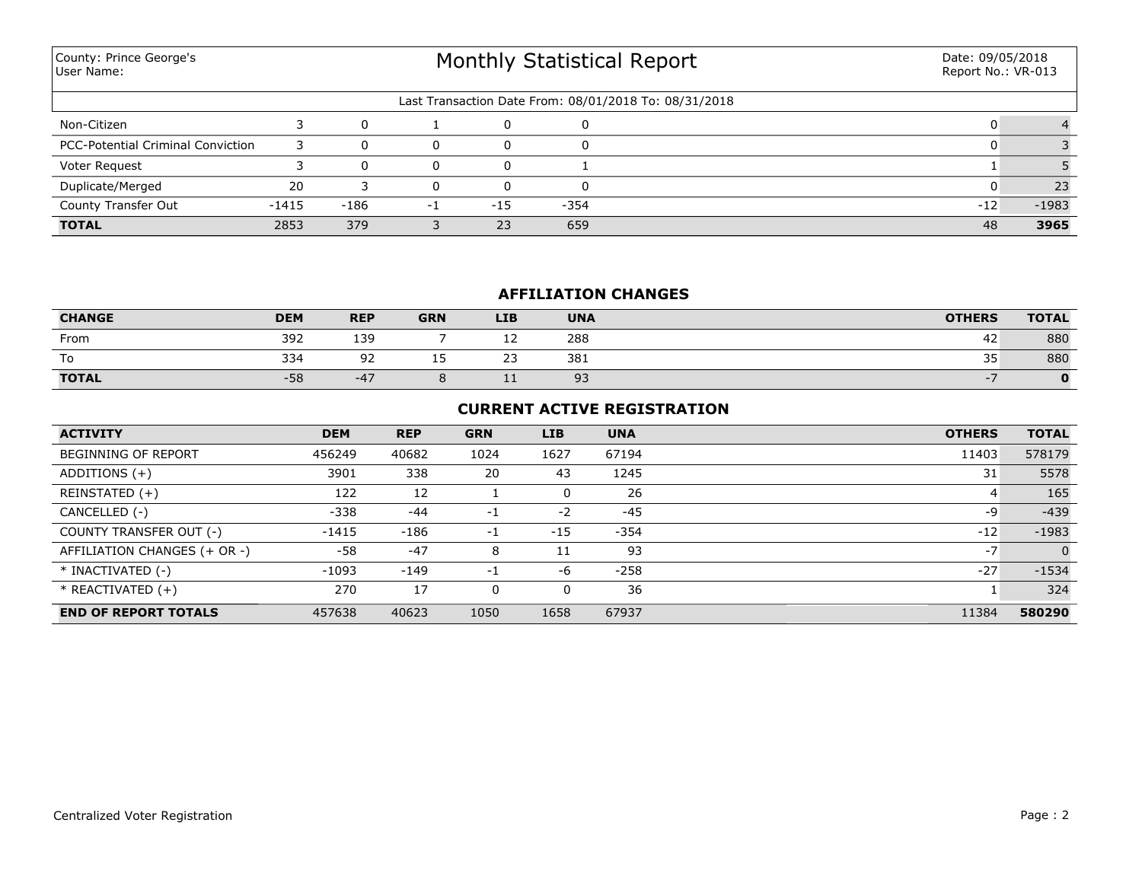| County: Prince George's<br>User Name:    |         |      | <b>Monthly Statistical Report</b> | Date: 09/05/2018<br>Report No.: VR-013 |          |                                                       |       |         |
|------------------------------------------|---------|------|-----------------------------------|----------------------------------------|----------|-------------------------------------------------------|-------|---------|
|                                          |         |      |                                   |                                        |          | Last Transaction Date From: 08/01/2018 To: 08/31/2018 |       |         |
| Non-Citizen                              |         |      |                                   | 0                                      | $\Omega$ |                                                       |       |         |
| <b>PCC-Potential Criminal Conviction</b> | 3       |      | $\Omega$                          | 0                                      | $\Omega$ |                                                       |       |         |
| Voter Request                            |         |      | 0                                 | 0                                      |          |                                                       |       |         |
| Duplicate/Merged                         | 20      |      | 0                                 | 0                                      | $\Omega$ |                                                       |       | 23      |
| County Transfer Out                      | $-1415$ | -186 | $-1$                              | $-15$                                  | -354     |                                                       | $-12$ | $-1983$ |
| <b>TOTAL</b>                             | 2853    | 379  |                                   | 23                                     | 659      |                                                       | 48    | 3965    |

## **AFFILIATION CHANGES**

| <b>CHANGE</b> | <b>DEM</b> | <b>REP</b>   | <b>GRN</b> | <b>LIB</b>           | <b>UNA</b> | <b>OTHERS</b> | <b>TOTAL</b> |
|---------------|------------|--------------|------------|----------------------|------------|---------------|--------------|
| From          | 392        | 139          |            | --                   | 288        | -42           | 880          |
| To            | 334        | $\sim$<br>-- | --         | $\sim$ $\sim$<br>۔ ے | 381        | 35            | 880          |
| <b>TOTAL</b>  | $-58$      | $-47$        |            | <b>++</b>            | 93         |               |              |

## **CURRENT ACTIVE REGISTRATION**

| <b>ACTIVITY</b>              | <b>DEM</b> | <b>REP</b> | <b>GRN</b> | <b>LIB</b> | <b>UNA</b> | <b>OTHERS</b> | <b>TOTAL</b> |
|------------------------------|------------|------------|------------|------------|------------|---------------|--------------|
| <b>BEGINNING OF REPORT</b>   | 456249     | 40682      | 1024       | 1627       | 67194      | 11403         | 578179       |
| ADDITIONS $(+)$              | 3901       | 338        | 20         | 43         | 1245       | 31            | 5578         |
| REINSTATED (+)               | 122        | 12         |            | 0          | 26         | 4             | 165          |
| CANCELLED (-)                | $-338$     | $-44$      | $-1$       | $-2$       | -45        | -9            | $-439$       |
| COUNTY TRANSFER OUT (-)      | -1415      | $-186$     | $-1$       | $-15$      | $-354$     | $-12$         | $-1983$      |
| AFFILIATION CHANGES (+ OR -) | $-58$      | $-47$      | 8          | 11         | 93         | $-7$          |              |
| * INACTIVATED (-)            | $-1093$    | $-149$     | $-1$       | -6         | $-258$     | $-27$         | $-1534$      |
| $*$ REACTIVATED $(+)$        | 270        | 17         | 0          | 0          | 36         |               | 324          |
| <b>END OF REPORT TOTALS</b>  | 457638     | 40623      | 1050       | 1658       | 67937      | 11384         | 580290       |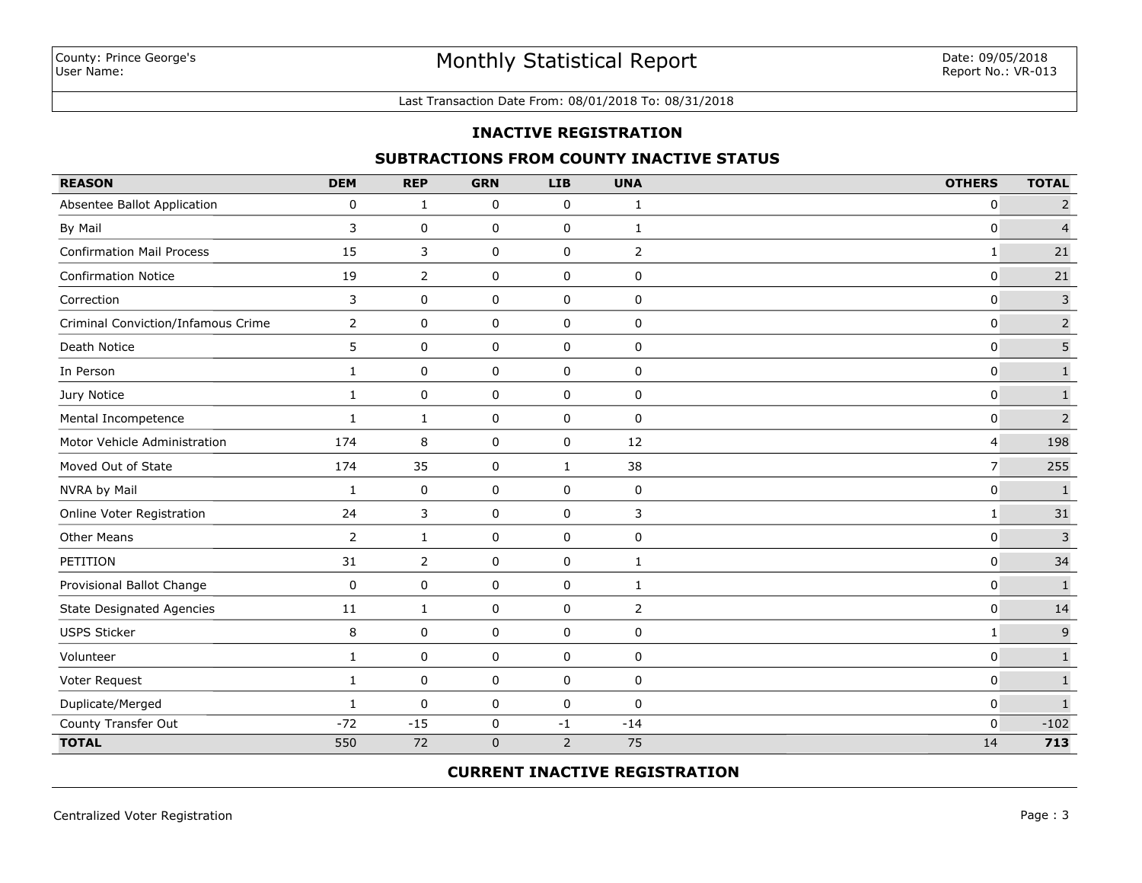#### Last Transaction Date From: 08/01/2018 To: 08/31/2018

## **INACTIVE REGISTRATION**

## **SUBTRACTIONS FROM COUNTY INACTIVE STATUS**

| <b>REASON</b>                      | <b>DEM</b>     | <b>REP</b>     | <b>GRN</b>  | <b>LIB</b>     | <b>UNA</b>     | <b>OTHERS</b>  | <b>TOTAL</b>            |
|------------------------------------|----------------|----------------|-------------|----------------|----------------|----------------|-------------------------|
| Absentee Ballot Application        | 0              | 1              | 0           | 0              | 1              | $\mathbf 0$    | $\overline{2}$          |
| By Mail                            | 3              | 0              | 0           | 0              | 1              | $\mathbf 0$    | $\overline{4}$          |
| <b>Confirmation Mail Process</b>   | 15             | 3              | 0           | 0              | 2              | $\mathbf{1}$   | 21                      |
| <b>Confirmation Notice</b>         | 19             | $\overline{2}$ | 0           | 0              | 0              | $\mathbf 0$    | 21                      |
| Correction                         | 3              | 0              | 0           | 0              | 0              | $\mathbf 0$    | $\overline{\mathbf{3}}$ |
| Criminal Conviction/Infamous Crime | $\mathbf{2}$   | 0              | 0           | 0              | 0              | $\mathbf 0$    | $\mathsf{2}$            |
| Death Notice                       | 5              | 0              | 0           | 0              | 0              | $\mathbf 0$    | 5                       |
| In Person                          | 1              | 0              | 0           | 0              | 0              | $\mathbf{0}$   | $\mathbf 1$             |
| Jury Notice                        | 1              | 0              | 0           | 0              | $\mathbf 0$    | $\mathbf{0}$   | $\mathbf{1}$            |
| Mental Incompetence                | $\mathbf{1}$   | $\mathbf{1}$   | $\mathbf 0$ | 0              | $\mathbf 0$    | $\mathbf{0}$   | $\overline{2}$          |
| Motor Vehicle Administration       | 174            | 8              | 0           | 0              | 12             | $\overline{4}$ | 198                     |
| Moved Out of State                 | 174            | 35             | 0           | $\mathbf{1}$   | 38             | $\overline{7}$ | 255                     |
| NVRA by Mail                       | 1              | 0              | $\mathbf 0$ | 0              | $\pmb{0}$      | $\mathbf 0$    | $\mathbf 1$             |
| Online Voter Registration          | 24             | 3              | $\mathbf 0$ | 0              | 3              | $\mathbf{1}$   | 31                      |
| <b>Other Means</b>                 | $\overline{2}$ | $\mathbf{1}$   | $\pmb{0}$   | 0              | $\pmb{0}$      | $\mathbf 0$    | $\mathsf 3$             |
| PETITION                           | 31             | $\overline{2}$ | $\pmb{0}$   | $\pmb{0}$      | $\mathbf{1}$   | $\mathbf 0$    | 34                      |
| Provisional Ballot Change          | 0              | 0              | 0           | 0              | 1              | $\mathbf 0$    | $\mathbf 1$             |
| <b>State Designated Agencies</b>   | 11             | $\mathbf{1}$   | 0           | 0              | $\overline{2}$ | $\mathbf 0$    | 14                      |
| <b>USPS Sticker</b>                | 8              | $\mathbf 0$    | $\pmb{0}$   | 0              | $\pmb{0}$      | $\mathbf{1}$   | $\mathsf 9$             |
| Volunteer                          | $\mathbf{1}$   | 0              | $\mathbf 0$ | 0              | $\pmb{0}$      | $\mathbf 0$    | $\mathbf 1$             |
| Voter Request                      | $\mathbf{1}$   | 0              | 0           | 0              | 0              | $\mathbf 0$    | $\mathbf 1$             |
| Duplicate/Merged                   | $\mathbf{1}$   | 0              | 0           | 0              | 0              | $\mathbf 0$    | $\mathbf 1$             |
| County Transfer Out                | $-72$          | $-15$          | $\pmb{0}$   | $^{\rm -1}$    | $-14$          | $\mathbf 0$    | $-102$                  |
| <b>TOTAL</b>                       | 550            | 72             | $\mathbf 0$ | $\overline{2}$ | 75             | 14             | 713                     |

## **CURRENT INACTIVE REGISTRATION**